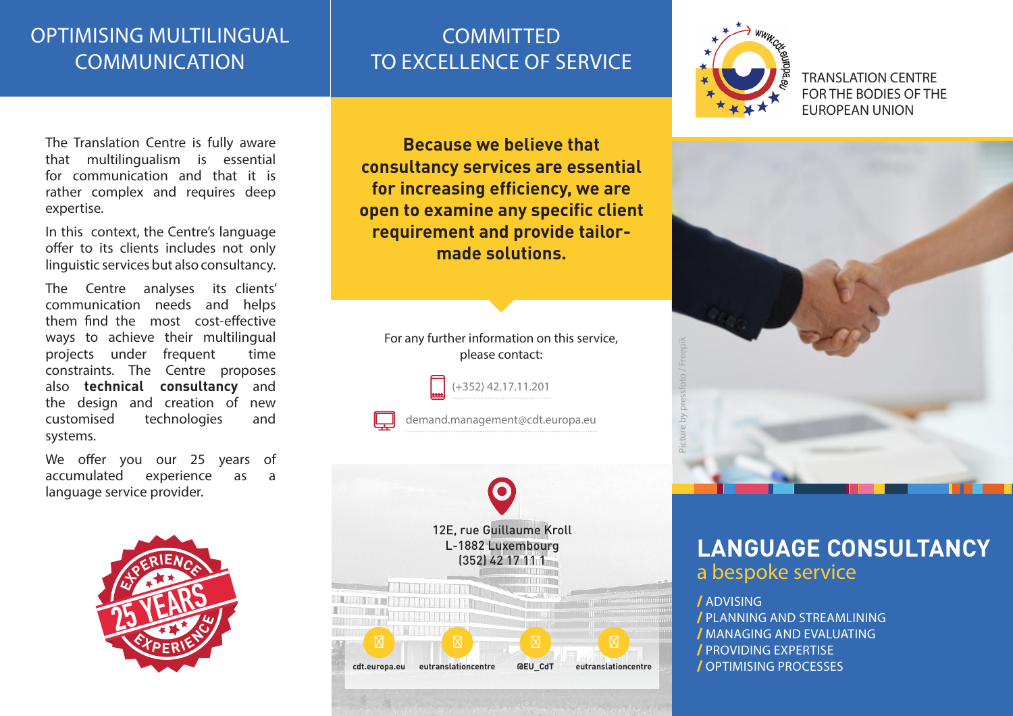### OPTIMISING MULTILINGUAL **COMMUNICATION**

# **COMMITTED** TO EXCELLENCE OF SERVICE



TRANSLATION CENTRE FOR THE BODIES OF THE EUROPEAN UNION



## **LANGUAGE CONSULTANCY** a bespoke service

/ ADVISING / PLANNING AND STREAMLINING / MANAGING AND EVALUATING / PROVIDING EXPERTISE / OPTIMISING PROCESSES

The Translation Centre is fully aware that multilingualism is essential for communication and that it is rather complex and requires deep expertise.

In this context, the Centre's language offer to its clients includes not only linguistic services but also consultancy.

The Centre analyses its clients' communication needs and helps them find the most cost-effective ways to achieve their multilingual projects under frequent time constraints. The Centre proposes also **technical consultancy** and the design and creation of new customised technologies and systems.

We offer you our 25 years of accumulated experience as a language service provider.



**Because we believe that consultancy services are essential for increasing efficiency, we are open to examine any specific client requirement and provide tailormade solutions.** 



(+352) 42.17.11.201 demand.management@cdt.europa.eu